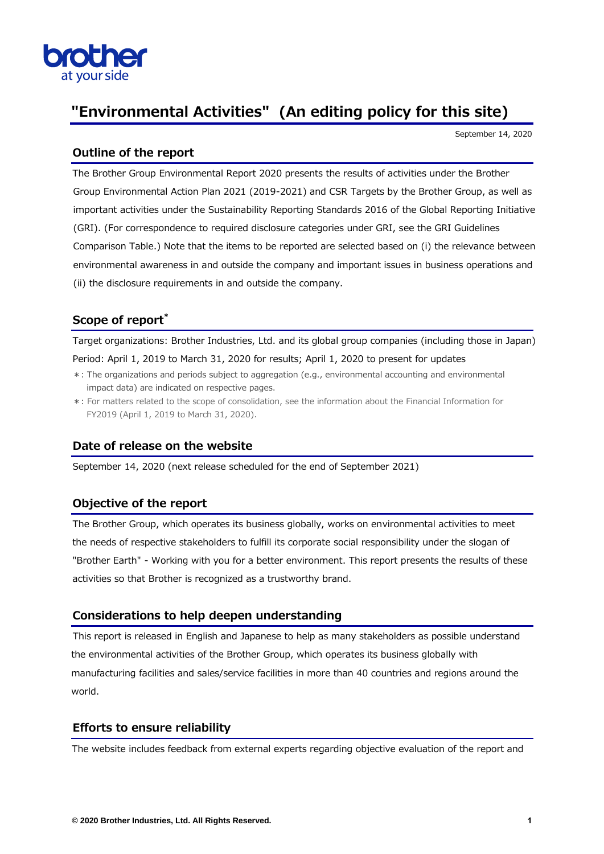

# **"Environmental Activities" (An editing policy for this site)**

September 14, 2020

### **Outline of the report**

The Brother Group Environmental Report 2020 presents the results of activities under the Brother Group Environmental Action Plan 2021 (2019-2021) and CSR Targets by the Brother Group, as well as important activities under the Sustainability Reporting Standards 2016 of the Global Reporting Initiative (GRI). (For correspondence to required disclosure categories under GRI, see the GRI Guidelines Comparison Table.) Note that the items to be reported are selected based on (i) the relevance between environmental awareness in and outside the company and important issues in business operations and (ii) the disclosure requirements in and outside the company.

## **Scope of report\***

Target organizations: Brother Industries, Ltd. and its global group companies (including those in Japan) Period: April 1, 2019 to March 31, 2020 for results; April 1, 2020 to present for updates

- \*: The organizations and periods subject to aggregation (e.g., environmental accounting and environmental impact data) are indicated on respective pages.
- \*: For matters related to the scope of consolidation, see the information about the Financial Information for FY2019 (April 1, 2019 to March 31, 2020).

#### **Date of release on the website**

September 14, 2020 (next release scheduled for the end of September 2021)

#### **Objective of the report**

The Brother Group, which operates its business globally, works on environmental activities to meet the needs of respective stakeholders to fulfill its corporate social responsibility under the slogan of "Brother Earth" - Working with you for a better environment. This report presents the results of these activities so that Brother is recognized as a trustworthy brand.

#### **Considerations to help deepen understanding**

This report is released in English and Japanese to help as many stakeholders as possible understand the environmental activities of the Brother Group, which operates its business globally with manufacturing facilities and sales/service facilities in more than 40 countries and regions around the world.

#### **Efforts to ensure reliability**

The website includes feedback from external experts regarding objective evaluation of the report and